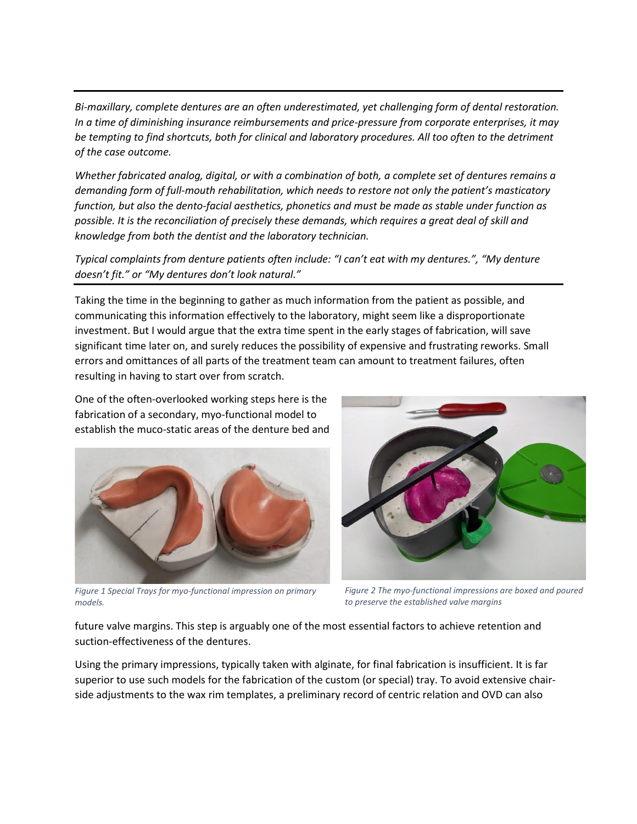*Bi-maxillary, complete dentures are an often underestimated, yet challenging form of dental restoration. In a time of diminishing insurance reimbursements and price-pressure from corporate enterprises, it may be tempting to find shortcuts, both for clinical and laboratory procedures. All too often to the detriment of the case outcome.*

*Whether fabricated analog, digital, or with a combination of both, a complete set of dentures remains a demanding form of full-mouth rehabilitation, which needs to restore not only the patient's masticatory function, but also the dento-facial aesthetics, phonetics and must be made as stable under function as possible. It is the reconciliation of precisely these demands, which requires a great deal of skill and knowledge from both the dentist and the laboratory technician.*

*Typical complaints from denture patients often include: "I can't eat with my dentures.", "My denture doesn't fit." or "My dentures don't look natural."*

Taking the time in the beginning to gather as much information from the patient as possible, and communicating this information effectively to the laboratory, might seem like a disproportionate investment. But I would argue that the extra time spent in the early stages of fabrication, will save significant time later on, and surely reduces the possibility of expensive and frustrating reworks. Small errors and omittances of all parts of the treatment team can amount to treatment failures, often resulting in having to start over from scratch.

One of the often-overlooked working steps here is the fabrication of a secondary, myo-functional model to establish the muco-static areas of the denture bed and



*Figure 1 Special Trays for myo-functional impression on primary models.*

*Figure 2 The myo-functional impressions are boxed and poured to preserve the established valve margins*

future valve margins. This step is arguably one of the most essential factors to achieve retention and suction-effectiveness of the dentures.

Using the primary impressions, typically taken with alginate, for final fabrication is insufficient. It is far superior to use such models for the fabrication of the custom (or special) tray. To avoid extensive chairside adjustments to the wax rim templates, a preliminary record of centric relation and OVD can also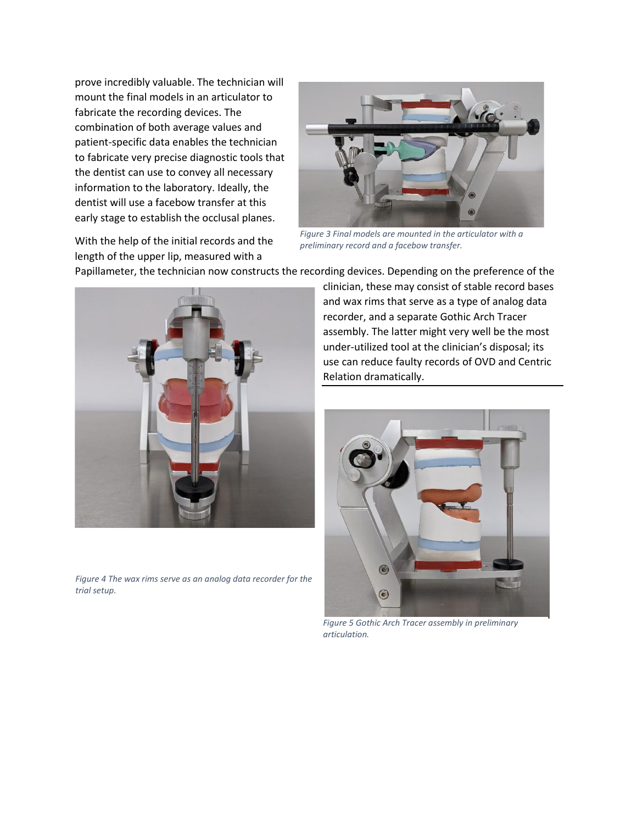prove incredibly valuable. The technician will mount the final models in an articulator to fabricate the recording devices. The combination of both average values and patient-specific data enables the technician to fabricate very precise diagnostic tools that the dentist can use to convey all necessary information to the laboratory. Ideally, the dentist will use a facebow transfer at this early stage to establish the occlusal planes.

With the help of the initial records and the length of the upper lip, measured with a



*Figure 3 Final models are mounted in the articulator with a preliminary record and a facebow transfer.*

Papillameter, the technician now constructs the recording devices. Depending on the preference of the



*Figure 4 The wax rims serve as an analog data recorder for the trial setup.*

clinician, these may consist of stable record bases and wax rims that serve as a type of analog data recorder, and a separate Gothic Arch Tracer assembly. The latter might very well be the most under-utilized tool at the clinician's disposal; its use can reduce faulty records of OVD and Centric Relation dramatically.



*Figure 5 Gothic Arch Tracer assembly in preliminary articulation.*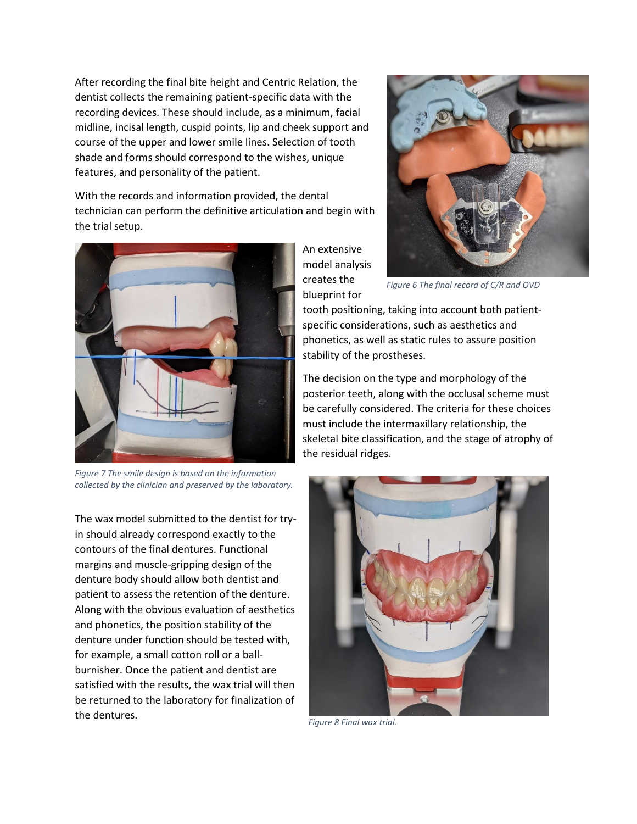After recording the final bite height and Centric Relation, the dentist collects the remaining patient-specific data with the recording devices. These should include, as a minimum, facial midline, incisal length, cuspid points, lip and cheek support and course of the upper and lower smile lines. Selection of tooth shade and forms should correspond to the wishes, unique features, and personality of the patient.

With the records and information provided, the dental technician can perform the definitive articulation and begin with the trial setup.



*Figure 7 The smile design is based on the information collected by the clinician and preserved by the laboratory.*

The wax model submitted to the dentist for tryin should already correspond exactly to the contours of the final dentures. Functional margins and muscle-gripping design of the denture body should allow both dentist and patient to assess the retention of the denture. Along with the obvious evaluation of aesthetics and phonetics, the position stability of the denture under function should be tested with, for example, a small cotton roll or a ballburnisher. Once the patient and dentist are satisfied with the results, the wax trial will then be returned to the laboratory for finalization of the dentures.

An extensive model analysis creates the blueprint for



*Figure 6 The final record of C/R and OVD*

tooth positioning, taking into account both patientspecific considerations, such as aesthetics and phonetics, as well as static rules to assure position stability of the prostheses.

The decision on the type and morphology of the posterior teeth, along with the occlusal scheme must be carefully considered. The criteria for these choices must include the intermaxillary relationship, the skeletal bite classification, and the stage of atrophy of the residual ridges.



*Figure 8 Final wax trial.*